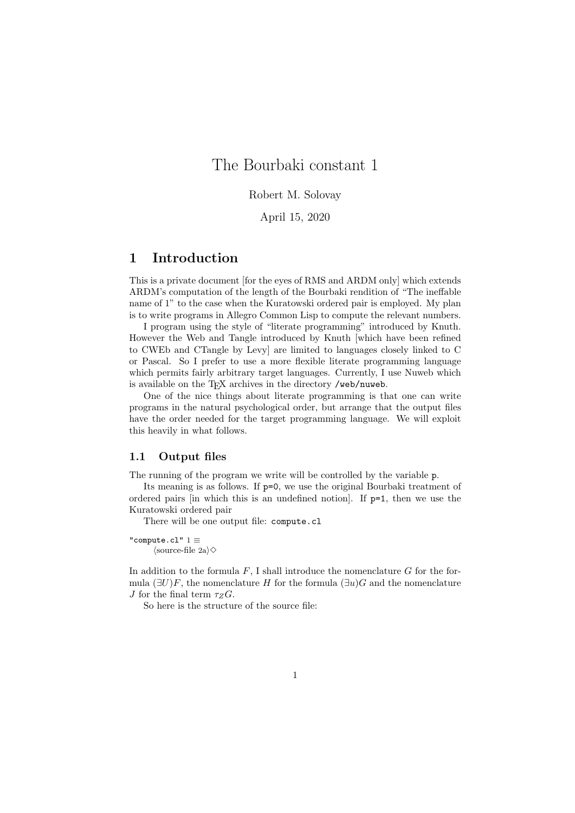## The Bourbaki constant 1

Robert M. Solovay

April 15, 2020

## **1 Introduction**

This is a private document [for the eyes of RMS and ARDM only] which extends ARDM's computation of the length of the Bourbaki rendition of "The ineffable name of 1" to the case when the Kuratowski ordered pair is employed. My plan is to write programs in Allegro Common Lisp to compute the relevant numbers.

I program using the style of "literate programming" introduced by Knuth. However the Web and Tangle introduced by Knuth [which have been refined to CWEb and CTangle by Levy] are limited to languages closely linked to C or Pascal. So I prefer to use a more flexible literate programming language which permits fairly arbitrary target languages. Currently, I use Nuweb which is available on the TFX archives in the directory /web/nuweb.

One of the nice things about literate programming is that one can write programs in the natural psychological order, but arrange that the output files have the order needed for the target programming language. We will exploit this heavily in what follows.

#### **1.1 Output files**

The running of the program we write will be controlled by the variable p.

Its meaning is as follows. If p=0, we use the original Bourbaki treatment of ordered pairs [in which this is an undefined notion]. If p=1, then we use the Kuratowski ordered pair

There will be one output file: compute.cl

"compute.cl" <sup>1</sup> *≡ ⟨*source-file 2a*⟩✸*

In addition to the formula *F*, I shall introduce the nomenclature *G* for the formula  $(\exists U)F$ , the nomenclature *H* for the formula  $(\exists u)G$  and the nomenclature *J* for the final term  $\tau_Z G$ .

So here is the structure of the source file: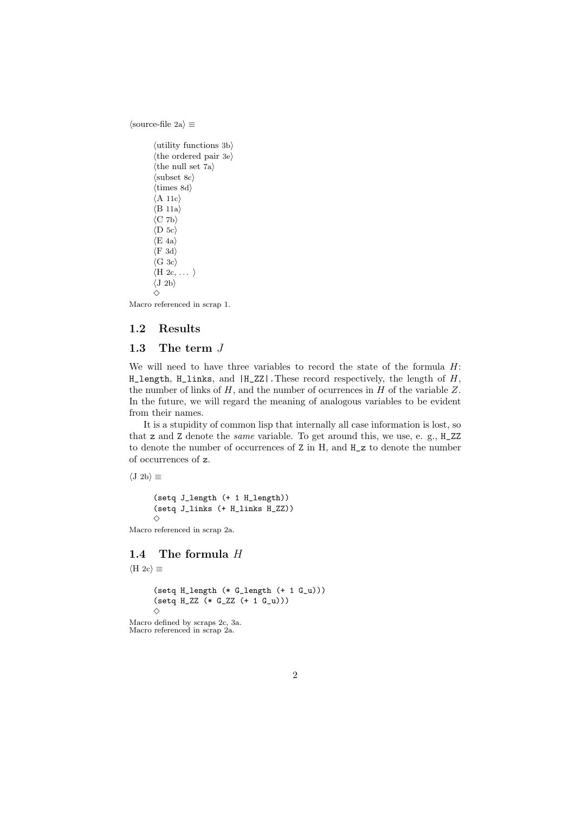*⟨*source-file 2a*⟩ ≡*

```
⟨utility functions 3b⟩
⟨the ordered pair 3e⟩
⟨the null set 7a⟩
⟨subset 8c⟩
⟨times 8d⟩
⟨A 11c⟩
⟨B 11a⟩
⟨C 7b⟩
⟨D 5c⟩
⟨E 4a⟩
⟨F 3d⟩
⟨G 3c⟩
⟨H 2c, . . . ⟩
⟨J 2b⟩
✸
```
Macro referenced in scrap 1.

## **1.2 Results**

#### **1.3 The term** *J*

We will need to have three variables to record the state of the formula *H*: H\_length, H\_links, and |H\_ZZ|.These record respectively, the length of *H*, the number of links of *H*, and the number of ocurrences in *H* of the variable *Z*. In the future, we will regard the meaning of analogous variables to be evident from their names.

It is a stupidity of common lisp that internally all case information is lost, so that z and Z denote the *same* variable. To get around this, we use, e. g., H\_ZZ to denote the number of occurrences of Z in H, and H\_z to denote the number of occurrences of z.

*⟨*J 2b*⟩ ≡*

(setq J\_length (+ 1 H\_length)) (setq J\_links (+ H\_links H\_ZZ)) *✸*

Macro referenced in scrap 2a.

## **1.4 The formula** *H*

```
⟨H 2c⟩ ≡
      (setq H_length (* G_length (+ 1 G_u)))
      (setq H_ZZ (* G_ZZ (+ 1 G_u)))
      ✸
Macro defined by scraps 2c, 3a.
Macro referenced in scrap 2a.
```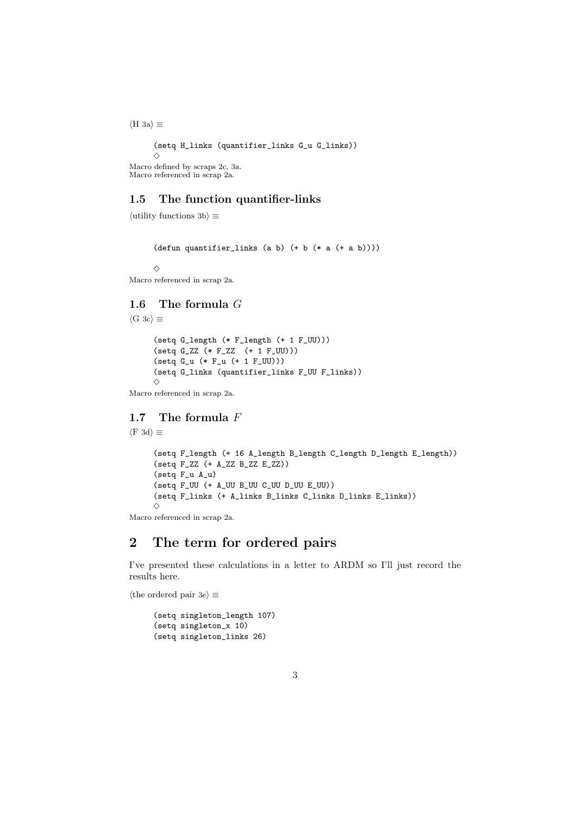*⟨*H 3a*⟩ ≡* (setq H\_links (quantifier\_links G\_u G\_links)) *✸* Macro defined by scraps 2c, 3a. Macro referenced in scrap 2a.

## **1.5 The function quantifier-links**

*⟨*utility functions 3b*⟩ ≡*

(defun quantifier\_links (a b) (+ b (\* a (+ a b))))

 $\Diamond$ 

```
Macro referenced in scrap 2a.
```
# **1.6 The formula** *G*

*⟨*G 3c*⟩ ≡*

(setq G\_length (\* F\_length (+ 1 F\_UU)))  $(setq G_ZZ (* F_ZZ (+ 1 F_UU)))$ (setq G\_u (\* F\_u (+ 1 F\_UU))) (setq G\_links (quantifier\_links F\_UU F\_links))  $\Diamond$ 

Macro referenced in scrap 2a.

## **1.7 The formula** *F*

```
⟨F 3d⟩ ≡
```

```
(setq F_length (+ 16 A_length B_length C_length D_length E_length))
(setq F_ZZ (+ A_ZZ B_ZZ E_ZZ))
(setq F_u A_u)
(setq F_UU (+ A_UU B_UU C_UU D_UU E_UU))
(setq F_links (+ A_links B_links C_links D_links E_links))
✸
```
Macro referenced in scrap 2a.

## **2 The term for ordered pairs**

I've presented these calculations in a letter to ARDM so I'll just record the results here.

*⟨*the ordered pair 3e*⟩ ≡*

```
(setq singleton_length 107)
(setq singleton_x 10)
(setq singleton_links 26)
```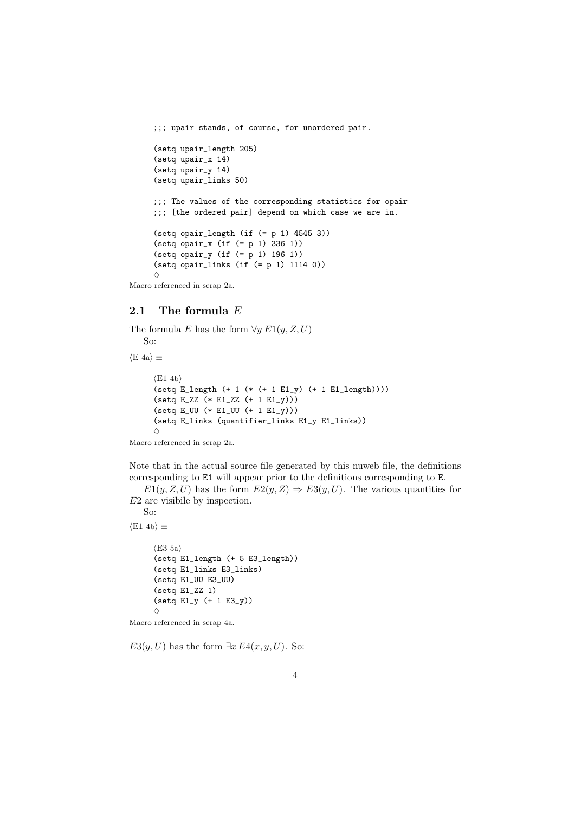```
;;; upair stands, of course, for unordered pair.
     (setq upair_length 205)
     (setq upair_x 14)
     (setq upair_y 14)
     (setq upair_links 50)
     ;;; The values of the corresponding statistics for opair
     ;;; [the ordered pair] depend on which case we are in.
     (setq opair_length (if (= p 1) 4545 3))
     (setq opair_x (if (= p 1) 336 1))
     (setq opair_y (if (= p 1) 196 1))
     (setq opair_links (if (= p 1) 1114 0))
     ✸
Macro referenced in scrap 2a.
```
## **2.1 The formula** *E*

The formula *E* has the form  $\forall y \ E1(y, Z, U)$ So: *⟨*E 4a*⟩ ≡ ⟨*E1 4b*⟩*  $(setq E_length (+ 1 (* (+ 1 E1_y) (+ 1 E1_length))))$  $(\text{setq E_ZZ (* E1_ZZ (+ 1 E1_y))))$ (setq E\_UU (\* E1\_UU (+ 1 E1\_y))) (setq E\_links (quantifier\_links E1\_y E1\_links)) *✸*

Macro referenced in scrap 2a.

Note that in the actual source file generated by this nuweb file, the definitions corresponding to E1 will appear prior to the definitions corresponding to E.

*E*1(*y, Z, U*) has the form  $E2(y, Z) \Rightarrow E3(y, U)$ . The various quantities for *E*2 are visibile by inspection.

So: *⟨*E1 4b*⟩ ≡*

```
⟨E3 5a⟩
      (setq E1_length (+ 5 E3_length))
      (setq E1_links E3_links)
      (setq E1_UU E3_UU)
      (setq E1_ZZ 1)
      (setq E1_y (+ 1 E3_y))\DiamondMacro referenced in scrap 4a.
```
*E*3(*y*, *U*) has the form  $\exists x E4(x, y, U)$ . So: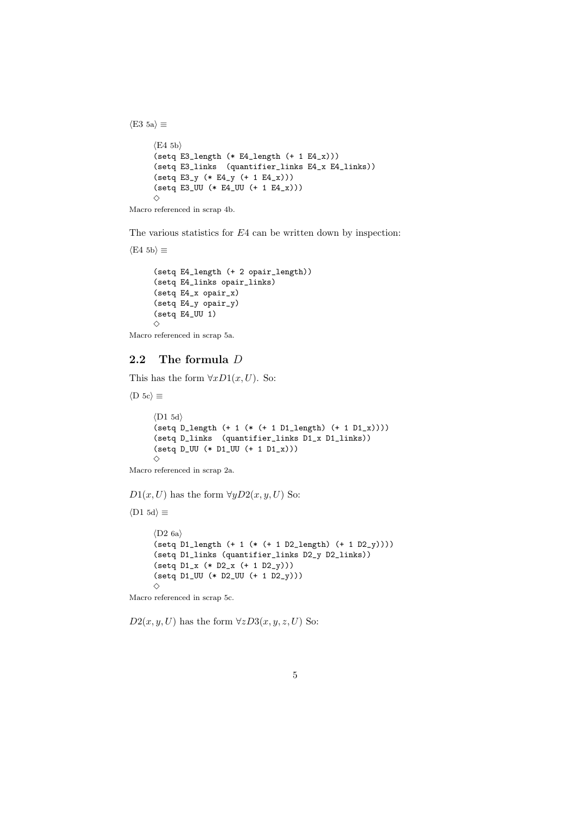*⟨*E4 5b*⟩* (setq E3\_length (\* E4\_length (+ 1 E4\_x))) (setq E3\_links (quantifier\_links E4\_x E4\_links)) (setq E3\_y (\* E4\_y (+ 1 E4\_x)))  $(\text{setq E3_UU (* E4_UU (+ 1 E4_x)))$  $\Diamond$ 

Macro referenced in scrap 4b.

*⟨*E3 5a*⟩ ≡*

The various statistics for *E*4 can be written down by inspection:

```
⟨E4 5b⟩ ≡
     (setq E4_length (+ 2 opair_length))
     (setq E4_links opair_links)
     (setq E4_x opair_x)
     (setq E4_y opair_y)
     (setq E4_UU 1)
     ✸
```
Macro referenced in scrap 5a.

## **2.2 The formula** *D*

This has the form  $\forall x D1(x, U)$ . So:

```
⟨D 5c⟩ ≡
```

```
⟨D1 5d⟩
(setq D_length (+ 1 (* (+ 1 D1_length) (+ 1 D1_x))))(setq D_links (quantifier_links D1_x D1_links))
(setq D_UU (* D1_UU (+ 1 D1_x)))
\Diamond
```
Macro referenced in scrap 2a.

*D*1(*x, U*) has the form  $\forall yD2(x, y, U)$  So:

*⟨*D1 5d*⟩ ≡*

*⟨*D2 6a*⟩* (setq D1\_length (+ 1 (\* (+ 1 D2\_length) (+ 1 D2\_y)))) (setq D1\_links (quantifier\_links D2\_y D2\_links)) (setq D1\_x (\* D2\_x (+ 1 D2\_y))) (setq D1\_UU (\* D2\_UU (+ 1 D2\_y)))  $\Diamond$ 

Macro referenced in scrap 5c.

 $D2(x, y, U)$  has the form  $\forall zD3(x, y, z, U)$  So: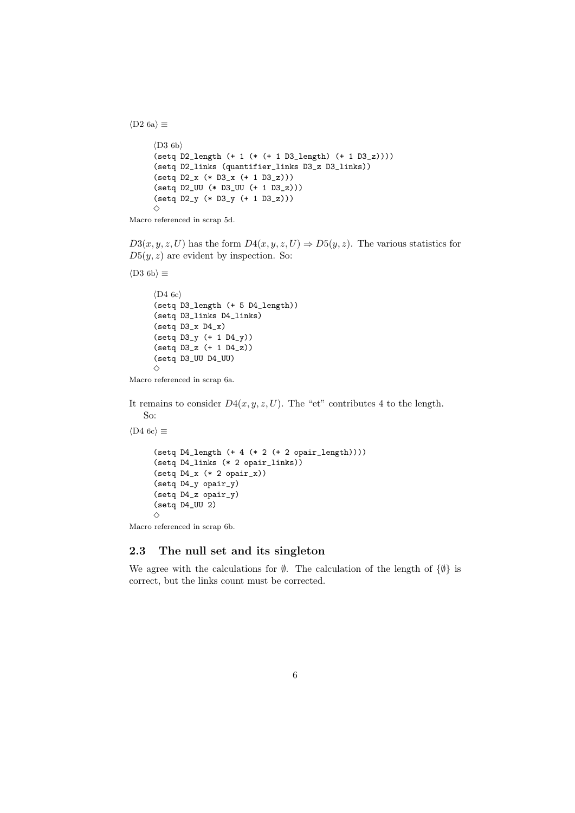*⟨*D2 6a*⟩ ≡*

```
⟨D3 6b⟩
(setq D2_length (+ 1 (* (+ 1 D3_length) (+ 1 D3_z))))
(setq D2_links (quantifier_links D3_z D3_links))
(setq D2_x (* D3_x (+ 1 D3_z)))
(setq D2_UU (* D3_UU (+ 1 D3_z)))
(setq D2_y (* D3_y (+ 1 D3_z)))
\Diamond
```

```
Macro referenced in scrap 5d.
```
 $D3(x, y, z, U)$  has the form  $D4(x, y, z, U) \Rightarrow D5(y, z)$ . The various statistics for  $D5(y, z)$  are evident by inspection. So:

*⟨*D3 6b*⟩ ≡*

```
⟨D4 6c⟩
(setq D3_length (+ 5 D4_length))
(setq D3_links D4_links)
(setq D3_x D4_x)
(setq D3_y (+ 1 D4_y))
(setq D3_z (+ 1 D4_z))
(setq D3_UU D4_UU)
✸
```
Macro referenced in scrap 6a.

It remains to consider  $D4(x, y, z, U)$ . The "et" contributes 4 to the length. So:

*⟨*D4 6c*⟩ ≡*

```
(setq D4_length (+ 4 (* 2 (+ 2 opair_length)))(setq D4_links (* 2 opair_links))
(setq D4_x (* 2 opair_x))(setq D4_y opair_y)
(setq D4_z opair_y)
(setq D4_UU 2)
✸
```
Macro referenced in scrap 6b.

## **2.3 The null set and its singleton**

We agree with the calculations for *∅*. The calculation of the length of *{∅}* is correct, but the links count must be corrected.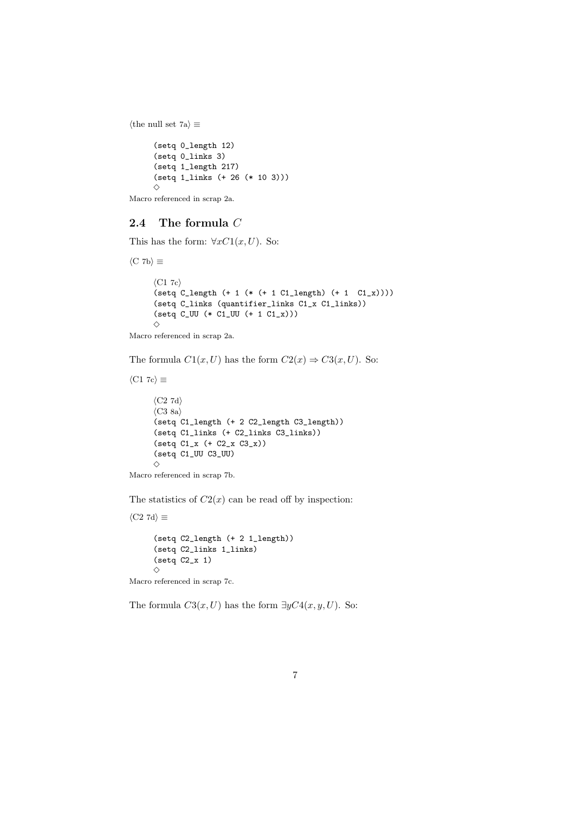```
⟨the null set 7a⟩ ≡
      (setq 0_length 12)
     (setq 0_links 3)
     (setq 1_length 217)
     (setq 1_links (+ 26 (* 10 3)))
     \Diamond
```
Macro referenced in scrap 2a.

## **2.4 The formula** *C*

This has the form:  $\forall x C1(x, U)$ . So:

*⟨*C 7b*⟩ ≡ ⟨*C1 7c*⟩*  $(\text{setq C_length } (+ 1 (* (+ 1 C1_length) (+ 1 C1_x))))$ (setq C\_links (quantifier\_links C1\_x C1\_links))  $(setq C_UU (* C1_UU (+ 1 C1_x)))$  $\diamond$ 

Macro referenced in scrap 2a.

The formula  $C1(x, U)$  has the form  $C2(x) \Rightarrow C3(x, U)$ . So:

```
⟨C1 7c⟩ ≡
     ⟨C2 7d⟩
      ⟨C3 8a⟩
      (setq C1_length (+ 2 C2_length C3_length))
      (setq C1_links (+ C2_links C3_links))
     (setq C1_x (+ C2_x C3_x))
     (setq C1_UU C3_UU)
     ✸
Macro referenced in scrap 7b.
```
The statistics of  $C2(x)$  can be read off by inspection:

*⟨*C2 7d*⟩ ≡*

(setq C2\_length (+ 2 1\_length)) (setq C2\_links 1\_links) (setq C2\_x 1)  $\Diamond$ Macro referenced in scrap 7c.

The formula  $C3(x, U)$  has the form  $\exists yC4(x, y, U)$ . So: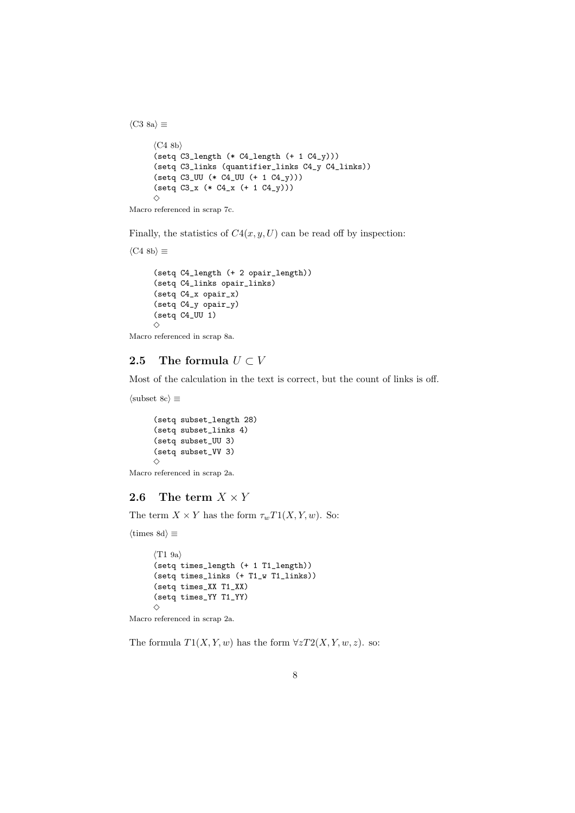*⟨*C4 8b*⟩* (setq C3\_length (\* C4\_length (+ 1 C4\_y))) (setq C3\_links (quantifier\_links C4\_y C4\_links)) (setq C3\_UU (\* C4\_UU (+ 1 C4\_y))) (setq C3\_x (\* C4\_x (+ 1 C4\_y)))  $\Diamond$ 

```
Macro referenced in scrap 7c.
```
*⟨*C3 8a*⟩ ≡*

Finally, the statistics of  $C4(x, y, U)$  can be read off by inspection:

```
⟨C4 8b⟩ ≡
     (setq C4_length (+ 2 opair_length))
     (setq C4_links opair_links)
     (setq C4_x opair_x)
     (setq C4_y opair_y)
     (setq C4_UU 1)
     ✸
```
Macro referenced in scrap 8a.

## **2.5** The formula  $U \subset V$

Most of the calculation in the text is correct, but the count of links is off.

```
⟨subset 8c⟩ ≡
```
(setq subset\_length 28) (setq subset\_links 4) (setq subset\_UU 3) (setq subset\_VV 3)  $\diamond$ 

Macro referenced in scrap 2a.

## **2.6** The term  $X \times Y$

The term  $X \times Y$  has the form  $\tau_w T1(X, Y, w)$ . So:

*⟨*times 8d*⟩ ≡*

```
⟨T1 9a⟩
(setq times_length (+ 1 T1_length))
(setq times_links (+ T1_w T1_links))
(setq times_XX T1_XX)
(setq times_YY T1_YY)
\diamond
```
Macro referenced in scrap 2a.

The formula  $T1(X, Y, w)$  has the form  $\forall z T2(X, Y, w, z)$ . so: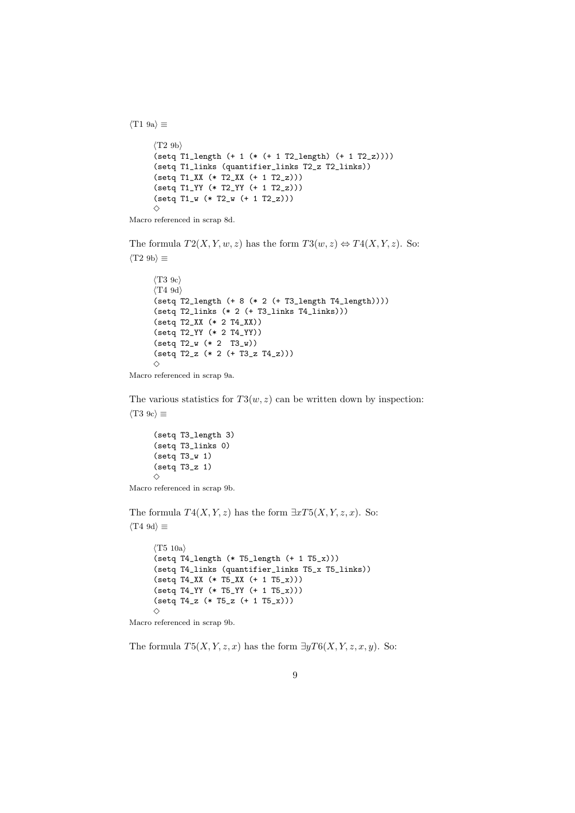*⟨*T2 9b*⟩* (setq T1\_length (+ 1 (\* (+ 1 T2\_length) (+ 1 T2\_z)))) (setq T1\_links (quantifier\_links T2\_z T2\_links)) (setq T1\_XX (\* T2\_XX (+ 1 T2\_z))) (setq T1\_YY (\* T2\_YY (+ 1 T2\_z))) (setq T1\_w (\* T2\_w (+ 1 T2\_z)))  $\Diamond$ 

Macro referenced in scrap 8d.

*⟨*T1 9a*⟩ ≡*

The formula  $T2(X, Y, w, z)$  has the form  $T3(w, z) \Leftrightarrow T4(X, Y, z)$ . So: *⟨*T2 9b*⟩ ≡*

```
⟨T3 9c⟩
⟨T4 9d⟩
(setq T2_length (+ 8 (* 2 (+ T3_length T4_length))))
(setq T2_links (* 2 (+ T3_links T4_links)))
(setq T2_XX (* 2 T4_XX))
(setq T2_YY (* 2 T4_YY))
(setq T2_w (* 2 T3_w))
(setq T2_z (* 2 (+ T3_z T4_z)))
\Diamond
```
Macro referenced in scrap 9a.

The various statistics for  $T3(w, z)$  can be written down by inspection: *⟨*T3 9c*⟩ ≡*

```
(setq T3_length 3)
(setq T3_links 0)
(setq T3_w 1)
(setq T3_z 1)
\Diamond
```

```
Macro referenced in scrap 9b.
```
The formula  $T4(X, Y, z)$  has the form  $\exists x T5(X, Y, z, x)$ . So: *⟨*T4 9d*⟩ ≡*

```
⟨T5 10a⟩
(\text{setq T4_length (* T5_length (+ 1 T5_x)))(setq T4_links (quantifier_links T5_x T5_links))
(setq T4_XX (* T5_XX (+ 1 T5_x)))
(setq T4_YY (* T5_YY (+ 1 T5_x)))
(setq T4_z (* T5_z (+ 1 T5_x)))
\Diamond
```
Macro referenced in scrap 9b.

The formula  $T5(X, Y, z, x)$  has the form  $\exists yT6(X, Y, z, x, y)$ . So: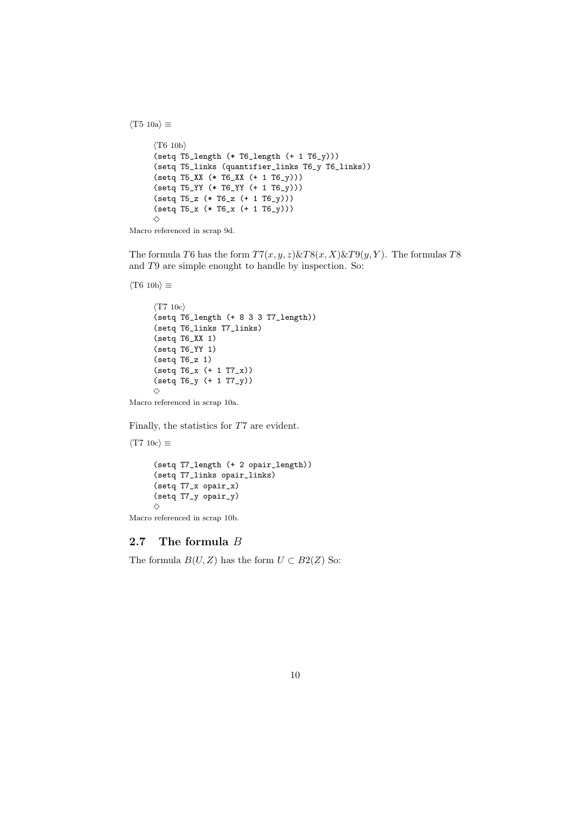```
⟨T6 10b⟩
(setq T5_length (* T6_length (+ 1 T6_y)))
(setq T5_links (quantifier_links T6_y T6_links))
(setq T5_XX (* T6_XX (+ 1 T6_y)))
(setq T5_YY (* T6_YY (+ 1 T6_y)))
(setq T5_z (* T6_z (+ 1 T6_y)))
(setq T5_x (* T6_x (+ 1 T6_y)))
\Diamond
```
Macro referenced in scrap 9d.

The formula *T*6 has the form *T*7(*x, y, z*)&*T*8(*x, X*)&*T*9(*y, Y* ). The formulas *T*8 and *T*9 are simple enought to handle by inspection. So:

```
⟨T6 10b⟩ ≡
```
*⟨*T5 10a*⟩ ≡*

```
⟨T7 10c⟩
(setq T6_length (+ 8 3 3 T7_length))
(setq T6_links T7_links)
(setq T6_XX 1)
(setq T6_YY 1)
(setq T6_z 1)
(setq T6_x (+ 1 T7_x))
(setq T6_y (+ 1 T7_y))
✸
```
Macro referenced in scrap 10a.

Finally, the statistics for *T*7 are evident.

```
⟨T7 10c⟩ ≡
     (setq T7_length (+ 2 opair_length))
     (setq T7_links opair_links)
     (setq T7_x opair_x)
     (setq T7_y opair_y)
     \diamond
```
Macro referenced in scrap 10b.

#### **2.7 The formula** *B*

The formula  $B(U, Z)$  has the form  $U \subset B2(Z)$  So: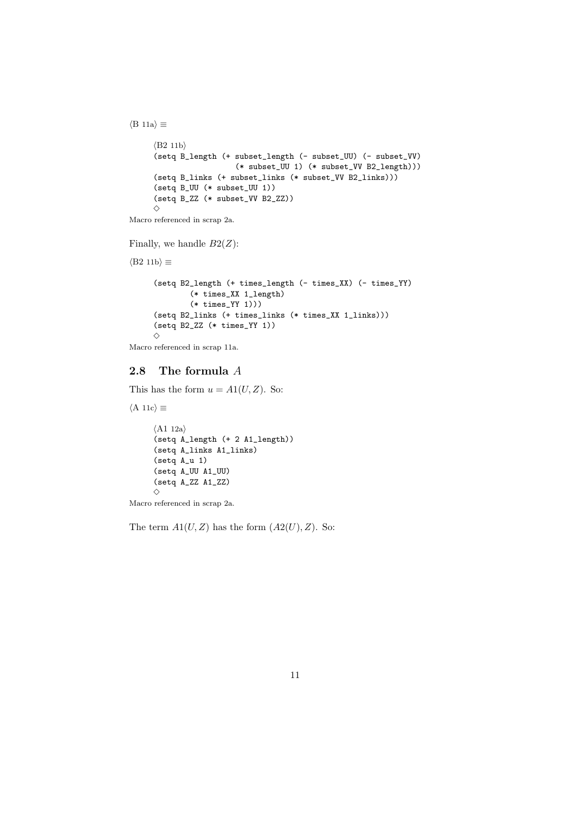*⟨*B2 11b*⟩* (setq B\_length (+ subset\_length (- subset\_UU) (- subset\_VV) (\* subset\_UU 1) (\* subset\_VV B2\_length))) (setq B\_links (+ subset\_links (\* subset\_VV B2\_links))) (setq B\_UU (\* subset\_UU 1)) (setq B\_ZZ (\* subset\_VV B2\_ZZ))  $\Diamond$ Macro referenced in scrap 2a.

Finally, we handle *B*2(*Z*):

*⟨*B2 11b*⟩ ≡*

*⟨*B 11a*⟩ ≡*

(setq B2\_length (+ times\_length (- times\_XX) (- times\_YY) (\* times\_XX 1\_length) (\* times\_YY 1))) (setq B2\_links (+ times\_links (\* times\_XX 1\_links))) (setq B2\_ZZ (\* times\_YY 1))  $\Diamond$ 

Macro referenced in scrap 11a.

#### **2.8 The formula** *A*

This has the form  $u = A1(U, Z)$ . So:

*⟨*A 11c*⟩ ≡*

```
⟨A1 12a⟩
(setq A_length (+ 2 A1_length))
(setq A_links A1_links)
(setq A_u 1)
(setq A_UU A1_UU)
(setq A_ZZ A1_ZZ)
\Diamond
```
Macro referenced in scrap 2a.

The term  $A1(U, Z)$  has the form  $(A2(U), Z)$ . So: